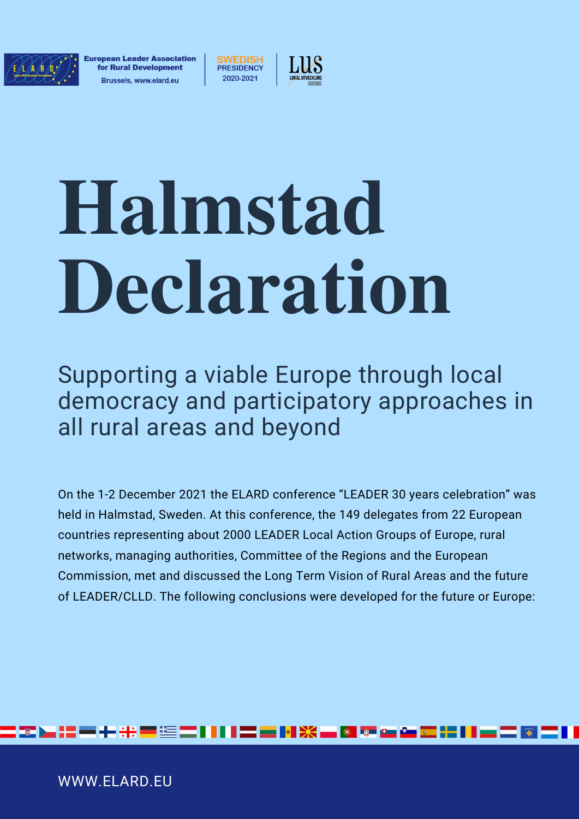

European Leader Association for Rural Development **Brussels, www.elard.eu** 

WWW.ELARD.EU

**SWEDISH PRESIDENCY** 



# **Halmstad Declaration**

Supporting a viable Europe through local democracy and participatory approaches in all rural areas and beyond

On the 1-2 December 2021 the ELARD conference "LEADER 30 years celebration" was held in Halmstad, Sweden. At this conference, the 149 delegates from 22 European countries representing about 2000 LEADER Local Action Groups of Europe, rural networks, managing authorities, Committee of the Regions and the European Commission, met and discussed the Long Term Vision of Rural Areas and the future of LEADER/CLLD. The following conclusions were developed for the future or Europe:

HE CHARLES COMPANY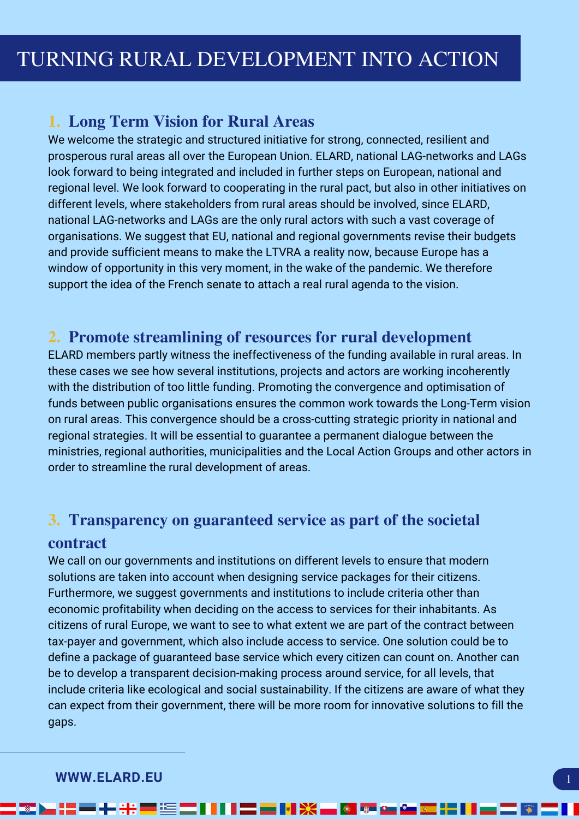# **1. Long Term Vision for Rural Areas**

We welcome the strategic and structured initiative for strong, connected, resilient and prosperous rural areas all over the European Union. ELARD, national LAG-networks and LAGs look forward to being integrated and included in further steps on European, national and regional level. We look forward to cooperating in the rural pact, but also in other initiatives on different levels, where stakeholders from rural areas should be involved, since ELARD, national LAG-networks and LAGs are the only rural actors with such a vast coverage of organisations. We suggest that EU, national and regional governments revise their budgets and provide sufficient means to make the LTVRA a reality now, because Europe has a window of opportunity in this very moment, in the wake of the pandemic. We therefore support the idea of the French senate to attach a real rural agenda to the vision.

## **2. Promote streamlining of resources for rural development**

ELARD members partly witness the ineffectiveness of the funding available in rural areas. In these cases we see how several institutions, projects and actors are working incoherently with the distribution of too little funding. Promoting the convergence and optimisation of funds between public organisations ensures the common work towards the Long-Term vision on rural areas. This convergence should be a cross-cutting strategic priority in national and regional strategies. It will be essential to guarantee a permanent dialogue between the ministries, regional authorities, municipalities and the Local Action Groups and other actors in order to streamline the rural development of areas.

# **3. Transparency on guaranteed service as part of the societal**

## **contract**

We call on our governments and institutions on different levels to ensure that modern solutions are taken into account when designing service packages for their citizens. Furthermore, we suggest governments and institutions to include criteria other than economic profitability when deciding on the access to services for their inhabitants. As citizens of rural Europe, we want to see to what extent we are part of the contract between tax-payer and government, which also include access to service. One solution could be to define a package of guaranteed base service which every citizen can count on. Another can be to develop a transparent decision-making process around service, for all levels, that include criteria like ecological and social sustainability. If the citizens are aware of what they can expect from their government, there will be more room for innovative solutions to fill the gaps.

▎▓▐▖▞▖▀▚▚▝▀▝░▐▀▎▌▌▌▆▆▐▜▓▗▄▐▓▝▘▆▗▆▐▊▐▌▄▆▀▐▊▌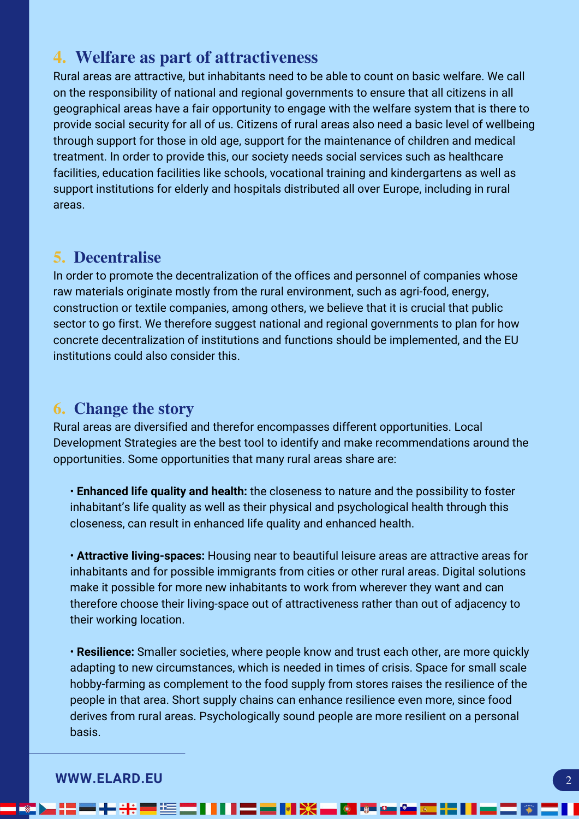# **4. Welfare as part of attractiveness**

Rural areas are attractive, but inhabitants need to be able to count on basic welfare. We call on the responsibility of national and regional governments to ensure that all citizens in all geographical areas have a fair opportunity to engage with the welfare system that is there to provide social security for all of us. Citizens of rural areas also need a basic level of wellbeing through support for those in old age, support for the maintenance of children and medical treatment. In order to provide this, our society needs social services such as healthcare facilities, education facilities like schools, vocational training and kindergartens as well as support institutions for elderly and hospitals distributed all over Europe, including in rural areas.

## **5. Decentralise**

In order to promote the decentralization of the offices and personnel of companies whose raw materials originate mostly from the rural environment, such as agri-food, energy, construction or textile companies, among others, we believe that it is crucial that public sector to go first. We therefore suggest national and regional governments to plan for how concrete decentralization of institutions and functions should be implemented, and the EU institutions could also consider this.

## **6. Change the story**

Rural areas are diversified and therefor encompasses different opportunities. Local Development Strategies are the best tool to identify and make recommendations around the opportunities. Some opportunities that many rural areas share are:

• **Enhanced life quality and health:** the closeness to nature and the possibility to foster inhabitant's life quality as well as their physical and psychological health through this closeness, can result in enhanced life quality and enhanced health.

• **Attractive living-spaces:** Housing near to beautiful leisure areas are attractive areas for inhabitants and for possible immigrants from cities or other rural areas. Digital solutions make it possible for more new inhabitants to work from wherever they want and can therefore choose their living-space out of attractiveness rather than out of adjacency to their working location.

• **Resilience:** Smaller societies, where people know and trust each other, are more quickly adapting to new circumstances, which is needed in times of crisis. Space for small scale hobby-farming as complement to the food supply from stores raises the resilience of the people in that area. Short supply chains can enhance resilience even more, since food derives from rural areas. Psychologically sound people are more resilient on a personal basis.

<u>▖;; = + ⊹ = ⊆ ; ; ; ; ; = || ※ \_ Ø © △ △ □ ¦ ; ; | \_ ; 5</u>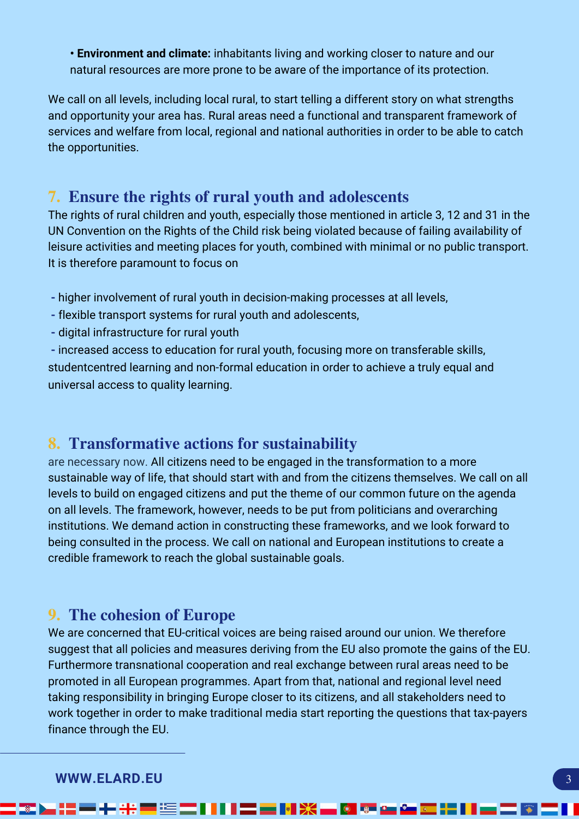**• Environment and climate:** inhabitants living and working closer to nature and our natural resources are more prone to be aware of the importance of its protection.

We call on all levels, including local rural, to start telling a different story on what strengths and opportunity your area has. Rural areas need a functional and transparent framework of services and welfare from local, regional and national authorities in order to be able to catch the opportunities.

# **7. Ensure the rights of rural youth and adolescents**

The rights of rural children and youth, especially those mentioned in article 3, 12 and 31 in the UN Convention on the Rights of the Child risk being violated because of failing availability of leisure activities and meeting places for youth, combined with minimal or no public transport. It is therefore paramount to focus on

- **-** higher involvement of rural youth in decision-making processes at all levels,
- flexible transport systems for rural youth and adolescents,
- digital infrastructure for rural youth

**-** increased access to education for rural youth, focusing more on transferable skills, studentcentred learning and non-formal education in order to achieve a truly equal and universal access to quality learning.

## **8. Transformative actions for sustainability**

are necessary now. All citizens need to be engaged in the transformation to a more sustainable way of life, that should start with and from the citizens themselves. We call on all levels to build on engaged citizens and put the theme of our common future on the agenda on all levels. The framework, however, needs to be put from politicians and overarching institutions. We demand action in constructing these frameworks, and we look forward to being consulted in the process. We call on national and European institutions to create a credible framework to reach the global sustainable goals.

## **9. The cohesion of Europe**

We are concerned that EU-critical voices are being raised around our union. We therefore suggest that all policies and measures deriving from the EU also promote the gains of the EU. Furthermore transnational cooperation and real exchange between rural areas need to be promoted in all European programmes. Apart from that, national and regional level need taking responsibility in bringing Europe closer to its citizens, and all stakeholders need to work together in order to make traditional media start reporting the questions that tax-payers finance through the EU.

▓▐▖▓▆▗▖<u>░▆</u>▓▓▌▌▌▊▆▐<mark>▜▒▄▓▓▄▓</mark>▆▅▓▓▊▊▞▊▞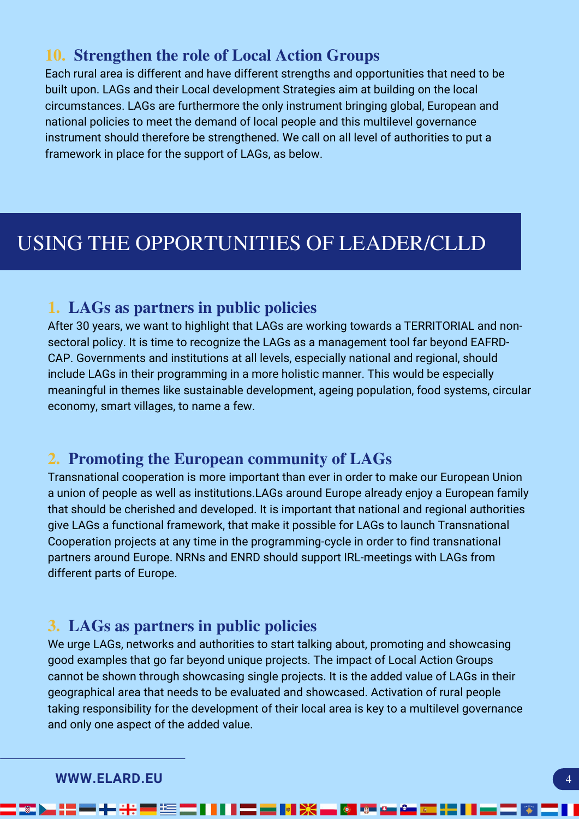# **10. Strengthen the role of Local Action Groups**

Each rural area is different and have different strengths and opportunities that need to be built upon. LAGs and their Local development Strategies aim at building on the local circumstances. LAGs are furthermore the only instrument bringing global, European and national policies to meet the demand of local people and this multilevel governance instrument should therefore be strengthened. We call on all level of authorities to put a framework in place for the support of LAGs, as below.

# USING THE OPPORTUNITIES OF LEADER/CLLD

## **1. LAGs as partners in public policies**

After 30 years, we want to highlight that LAGs are working towards a TERRITORIAL and nonsectoral policy. It is time to recognize the LAGs as a management tool far beyond EAFRD-CAP. Governments and institutions at all levels, especially national and regional, should include LAGs in their programming in a more holistic manner. This would be especially meaningful in themes like sustainable development, ageing population, food systems, circular economy, smart villages, to name a few.

## **2. Promoting the European community of LAGs**

Transnational cooperation is more important than ever in order to make our European Union a union of people as well as institutions.LAGs around Europe already enjoy a European family that should be cherished and developed. It is important that national and regional authorities give LAGs a functional framework, that make it possible for LAGs to launch Transnational Cooperation projects at any time in the programming-cycle in order to find transnational partners around Europe. NRNs and ENRD should support IRL-meetings with LAGs from different parts of Europe.

## **3. LAGs as partners in public policies**

We urge LAGs, networks and authorities to start talking about, promoting and showcasing good examples that go far beyond unique projects. The impact of Local Action Groups cannot be shown through showcasing single projects. It is the added value of LAGs in their geographical area that needs to be evaluated and showcased. Activation of rural people taking responsibility for the development of their local area is key to a multilevel governance and only one aspect of the added value.

▆▋▋▋▋▆▖▅▐▚▌▓▚▅▐▓▋▓▘▓▖▓▖▏

### **WWW.ELARD.EU**

- 12

▃▚▊▀▞▅▓▓▐

83 H 22 H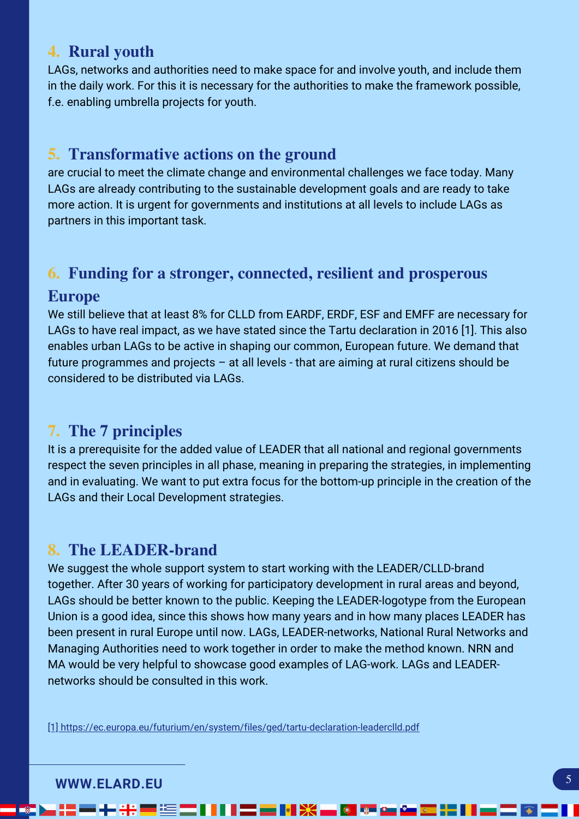# **4. Rural youth**

LAGs, networks and authorities need to make space for and involve youth, and include them in the daily work. For this it is necessary for the authorities to make the framework possible, f.e. enabling umbrella projects for youth.

# **5. Transformative actions on the ground**

are crucial to meet the climate change and environmental challenges we face today. Many LAGs are already contributing to the sustainable development goals and are ready to take more action. It is urgent for governments and institutions at all levels to include LAGs as partners in this important task.

# **6. Funding for a stronger, connected, resilient and prosperous**

## **Europe**

We still believe that at least 8% for CLLD from EARDF, ERDF, ESF and EMFF are necessary for LAGs to have real impact, as we have stated since the Tartu declaration in 2016 [\[1\].](https://ec.europa.eu/futurium/en/system/files/ged/tartu-declaration-leaderclld.pdf) This also enables urban LAGs to be active in shaping our common, European future. We demand that future programmes and projects – at all levels - that are aiming at rural citizens should be considered to be distributed via LAGs.

# **7. The 7 principles**

It is a prerequisite for the added value of LEADER that all national and regional governments respect the seven principles in all phase, meaning in preparing the strategies, in implementing and in evaluating. We want to put extra focus for the bottom-up principle in the creation of the LAGs and their Local Development strategies.

## **8. The LEADER-brand**

We suggest the whole support system to start working with the LEADER/CLLD-brand together. After 30 years of working for participatory development in rural areas and beyond, LAGs should be better known to the public. Keeping the LEADER-logotype from the European Union is a good idea, since this shows how many years and in how many places LEADER has been present in rural Europe until now. LAGs, LEADER-networks, National Rural Networks and Managing Authorities need to work together in order to make the method known. NRN and MA would be very helpful to showcase good examples of LAG-work. LAGs and LEADERnetworks should be consulted in this work.

**EN 233** 

[1] <https://ec.europa.eu/futurium/en/system/files/ged/tartu-declaration-leaderclld.pdf>